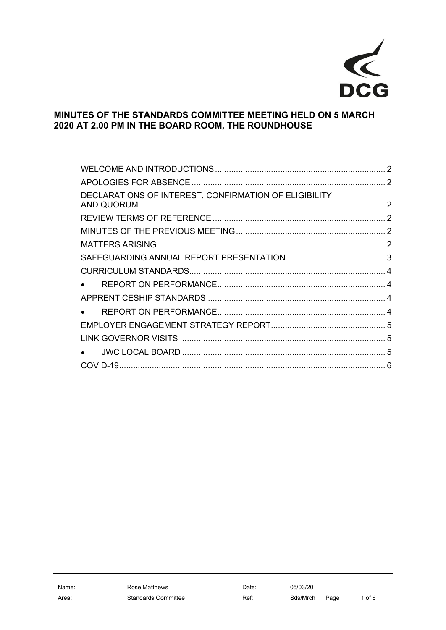

## **MINUTES OF THE STANDARDS COMMITTEE MEETING HELD ON 5 MARCH 2020 AT 2.00 PM IN THE BOARD ROOM, THE ROUNDHOUSE**

| DECLARATIONS OF INTEREST, CONFIRMATION OF ELIGIBILITY |  |
|-------------------------------------------------------|--|
|                                                       |  |
|                                                       |  |
|                                                       |  |
|                                                       |  |
|                                                       |  |
|                                                       |  |
|                                                       |  |
|                                                       |  |
|                                                       |  |
|                                                       |  |
|                                                       |  |
|                                                       |  |
|                                                       |  |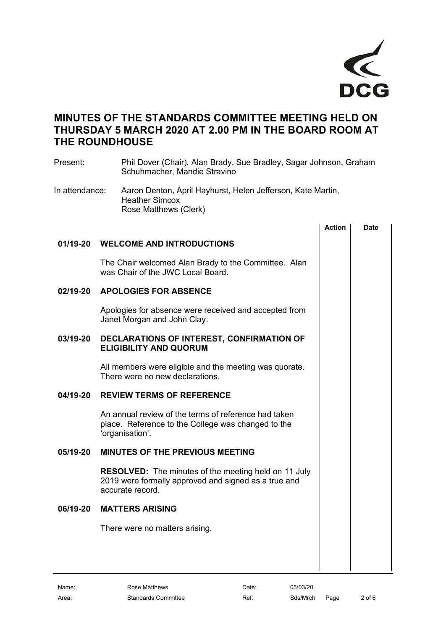

# **MINUTES OF THE STANDARDS COMMITTEE MEETING HELD ON THURSDAY 5 MARCH 2020 AT 2.00 PM IN THE BOARD ROOM AT THE ROUNDHOUSE**

<span id="page-1-5"></span><span id="page-1-4"></span><span id="page-1-3"></span><span id="page-1-2"></span><span id="page-1-1"></span><span id="page-1-0"></span>

| Present:       | Schuhmacher, Mandie Stravino                                                                                                            | Phil Dover (Chair), Alan Brady, Sue Bradley, Sagar Johnson, Graham |             |  |
|----------------|-----------------------------------------------------------------------------------------------------------------------------------------|--------------------------------------------------------------------|-------------|--|
| In attendance: | Aaron Denton, April Hayhurst, Helen Jefferson, Kate Martin,<br><b>Heather Simcox</b><br>Rose Matthews (Clerk)                           |                                                                    |             |  |
|                |                                                                                                                                         | <b>Action</b>                                                      | <b>Date</b> |  |
| 01/19-20       | <b>WELCOME AND INTRODUCTIONS</b>                                                                                                        |                                                                    |             |  |
|                | The Chair welcomed Alan Brady to the Committee. Alan<br>was Chair of the JWC Local Board.                                               |                                                                    |             |  |
| 02/19-20       | <b>APOLOGIES FOR ABSENCE</b>                                                                                                            |                                                                    |             |  |
|                | Apologies for absence were received and accepted from<br>Janet Morgan and John Clay.                                                    |                                                                    |             |  |
| 03/19-20       | DECLARATIONS OF INTEREST, CONFIRMATION OF<br><b>ELIGIBILITY AND QUORUM</b>                                                              |                                                                    |             |  |
|                | All members were eligible and the meeting was quorate.<br>There were no new declarations.                                               |                                                                    |             |  |
| 04/19-20       | <b>REVIEW TERMS OF REFERENCE</b>                                                                                                        |                                                                    |             |  |
|                | An annual review of the terms of reference had taken<br>place. Reference to the College was changed to the<br>'organisation'.           |                                                                    |             |  |
| 05/19-20       | <b>MINUTES OF THE PREVIOUS MEETING</b>                                                                                                  |                                                                    |             |  |
|                | <b>RESOLVED:</b> The minutes of the meeting held on 11 July<br>2019 were formally approved and signed as a true and<br>accurate record. |                                                                    |             |  |
| 06/19-20       | <b>MATTERS ARISING</b>                                                                                                                  |                                                                    |             |  |
|                | There were no matters arising.                                                                                                          |                                                                    |             |  |
|                |                                                                                                                                         |                                                                    |             |  |
|                |                                                                                                                                         |                                                                    |             |  |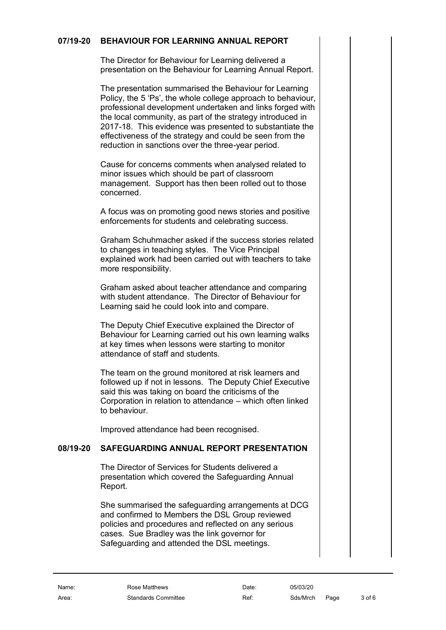#### **07/19-20 BEHAVIOUR FOR LEARNING ANNUAL REPORT**

The Director for Behaviour for Learning delivered a presentation on the Behaviour for Learning Annual Report.

The presentation summarised the Behaviour for Learning Policy, the 5 'Ps', the whole college approach to behaviour, professional development undertaken and links forged with the local community, as part of the strategy introduced in 2017-18. This evidence was presented to substantiate the effectiveness of the strategy and could be seen from the reduction in sanctions over the three-year period.

Cause for concerns comments when analysed related to minor issues which should be part of classroom management. Support has then been rolled out to those concerned.

A focus was on promoting good news stories and positive enforcements for students and celebrating success.

Graham Schuhmacher asked if the success stories related to changes in teaching styles. The Vice Principal explained work had been carried out with teachers to take more responsibility.

Graham asked about teacher attendance and comparing with student attendance. The Director of Behaviour for Learning said he could look into and compare.

The Deputy Chief Executive explained the Director of Behaviour for Learning carried out his own learning walks at key times when lessons were starting to monitor attendance of staff and students.

The team on the ground monitored at risk learners and followed up if not in lessons. The Deputy Chief Executive said this was taking on board the criticisms of the Corporation in relation to attendance – which often linked to behaviour.

<span id="page-2-0"></span>Improved attendance had been recognised.

### **08/19-20 SAFEGUARDING ANNUAL REPORT PRESENTATION**

The Director of Services for Students delivered a presentation which covered the Safeguarding Annual Report.

She summarised the safeguarding arrangements at DCG and confirmed to Members the DSL Group reviewed policies and procedures and reflected on any serious cases. Sue Bradley was the link governor for Safeguarding and attended the DSL meetings.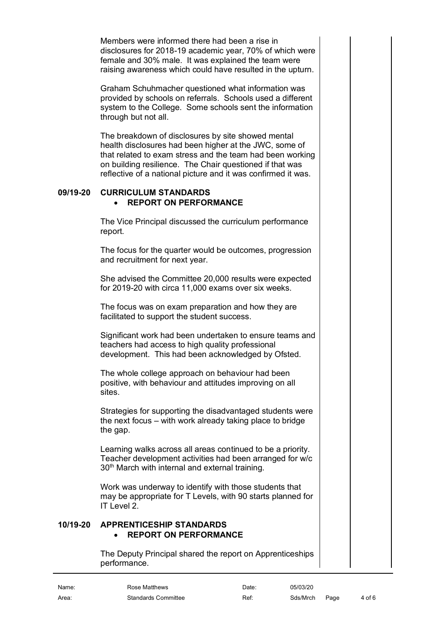Members were informed there had been a rise in disclosures for 2018-19 academic year, 70% of which were female and 30% male. It was explained the team were raising awareness which could have resulted in the upturn.

Graham Schuhmacher questioned what information was provided by schools on referrals. Schools used a different system to the College. Some schools sent the information through but not all.

The breakdown of disclosures by site showed mental health disclosures had been higher at the JWC, some of that related to exam stress and the team had been working on building resilience. The Chair questioned if that was reflective of a national picture and it was confirmed it was.

#### **09/19-20 CURRICULUM STANDARDS** • **REPORT ON PERFORMANCE**

<span id="page-3-1"></span><span id="page-3-0"></span>The Vice Principal discussed the curriculum performance report.

The focus for the quarter would be outcomes, progression and recruitment for next year.

She advised the Committee 20,000 results were expected for 2019-20 with circa 11,000 exams over six weeks.

The focus was on exam preparation and how they are facilitated to support the student success.

Significant work had been undertaken to ensure teams and teachers had access to high quality professional development. This had been acknowledged by Ofsted.

The whole college approach on behaviour had been positive, with behaviour and attitudes improving on all sites.

Strategies for supporting the disadvantaged students were the next focus – with work already taking place to bridge the gap.

Learning walks across all areas continued to be a priority. Teacher development activities had been arranged for w/c 30<sup>th</sup> March with internal and external training.

Work was underway to identify with those students that may be appropriate for T Levels, with 90 starts planned for IT Level 2.

#### **10/19-20 APPRENTICESHIP STANDARDS**  • **REPORT ON PERFORMANCE**

<span id="page-3-3"></span><span id="page-3-2"></span>The Deputy Principal shared the report on Apprenticeships performance.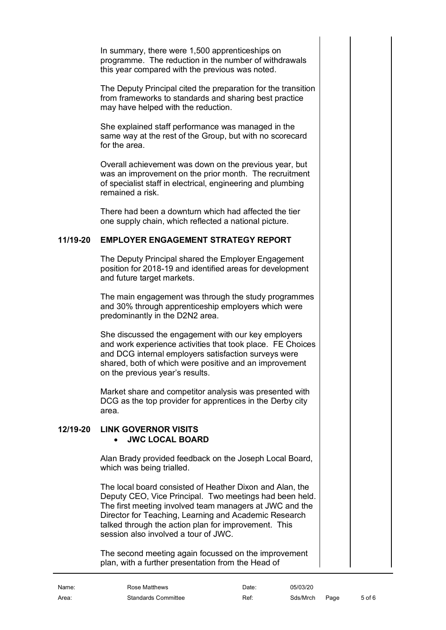In summary, there were 1,500 apprenticeships on programme. The reduction in the number of withdrawals this year compared with the previous was noted.

The Deputy Principal cited the preparation for the transition from frameworks to standards and sharing best practice may have helped with the reduction.

She explained staff performance was managed in the same way at the rest of the Group, but with no scorecard for the area.

Overall achievement was down on the previous year, but was an improvement on the prior month. The recruitment of specialist staff in electrical, engineering and plumbing remained a risk.

There had been a downturn which had affected the tier one supply chain, which reflected a national picture.

#### **11/19-20 EMPLOYER ENGAGEMENT STRATEGY REPORT**

<span id="page-4-0"></span>The Deputy Principal shared the Employer Engagement position for 2018-19 and identified areas for development and future target markets.

The main engagement was through the study programmes and 30% through apprenticeship employers which were predominantly in the D2N2 area.

She discussed the engagement with our key employers and work experience activities that took place. FE Choices and DCG internal employers satisfaction surveys were shared, both of which were positive and an improvement on the previous year's results.

Market share and competitor analysis was presented with DCG as the top provider for apprentices in the Derby city area.

#### **12/19-20 LINK GOVERNOR VISITS** • **JWC LOCAL BOARD**

<span id="page-4-2"></span><span id="page-4-1"></span>Alan Brady provided feedback on the Joseph Local Board, which was being trialled.

The local board consisted of Heather Dixon and Alan, the Deputy CEO, Vice Principal. Two meetings had been held. The first meeting involved team managers at JWC and the Director for Teaching, Learning and Academic Research talked through the action plan for improvement. This session also involved a tour of JWC.

The second meeting again focussed on the improvement plan, with a further presentation from the Head of